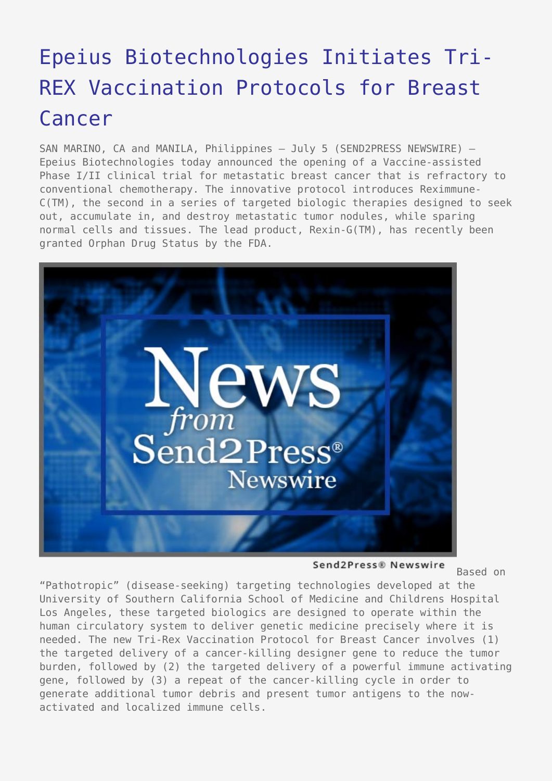## [Epeius Biotechnologies Initiates Tri-](https://www.send2press.com/wire/2006-07-0705-002/)[REX Vaccination Protocols for Breast](https://www.send2press.com/wire/2006-07-0705-002/) [Cancer](https://www.send2press.com/wire/2006-07-0705-002/)

SAN MARINO, CA and MANILA, Philippines – July 5 (SEND2PRESS NEWSWIRE) — Epeius Biotechnologies today announced the opening of a Vaccine-assisted Phase I/II clinical trial for metastatic breast cancer that is refractory to conventional chemotherapy. The innovative protocol introduces Reximmune-C(TM), the second in a series of targeted biologic therapies designed to seek out, accumulate in, and destroy metastatic tumor nodules, while sparing normal cells and tissues. The lead product, Rexin-G(TM), has recently been granted Orphan Drug Status by the FDA.



Send2Press® Newswire

Based on

"Pathotropic" (disease-seeking) targeting technologies developed at the University of Southern California School of Medicine and Childrens Hospital Los Angeles, these targeted biologics are designed to operate within the human circulatory system to deliver genetic medicine precisely where it is needed. The new Tri-Rex Vaccination Protocol for Breast Cancer involves (1) the targeted delivery of a cancer-killing designer gene to reduce the tumor burden, followed by (2) the targeted delivery of a powerful immune activating gene, followed by (3) a repeat of the cancer-killing cycle in order to generate additional tumor debris and present tumor antigens to the nowactivated and localized immune cells.